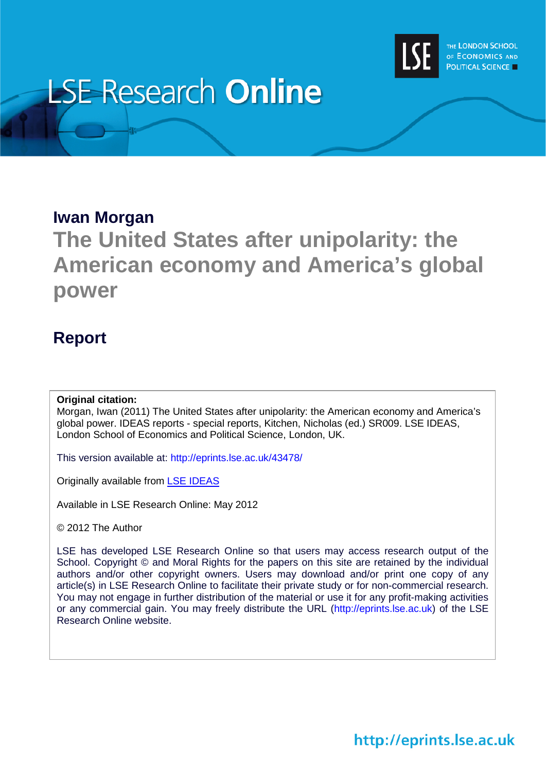

# **LSE Research Online**

#### **Iwan Morgan**

# **The United States after unipolarity: the American economy and America's global power**

### **Report**

#### **Original citation:**

Morgan, Iwan (2011) The United States after unipolarity: the American economy and America's global power. IDEAS reports - special reports, Kitchen, Nicholas (ed.) SR009. LSE IDEAS, London School of Economics and Political Science, London, UK.

This version available at: http://eprints.lse.ac.uk/43478/

Originally available from [LSE IDEAS](http://www2.lse.ac.uk/IDEAS/Home.aspx)

Available in LSE Research Online: May 2012

© 2012 The Author

LSE has developed LSE Research Online so that users may access research output of the School. Copyright © and Moral Rights for the papers on this site are retained by the individual authors and/or other copyright owners. Users may download and/or print one copy of any article(s) in LSE Research Online to facilitate their private study or for non-commercial research. You may not engage in further distribution of the material or use it for any profit-making activities or any commercial gain. You may freely distribute the URL (http://eprints.lse.ac.uk) of the LSE Research Online website.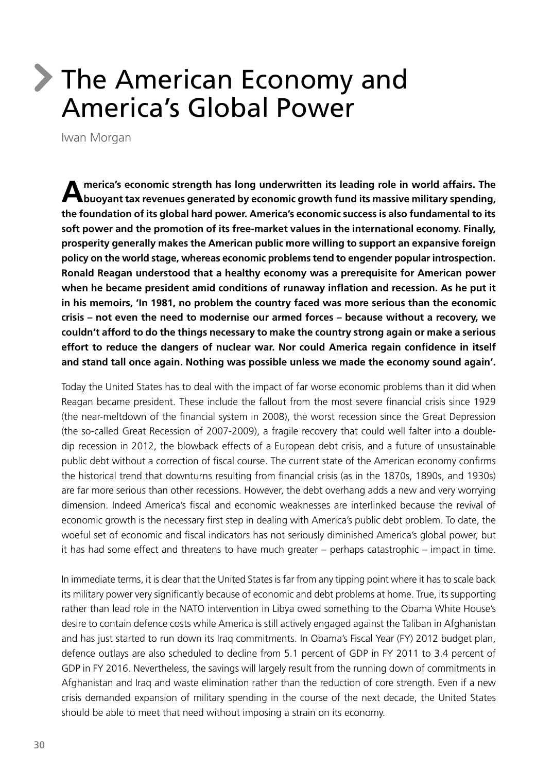# The American Economy and America's Global Power

Iwan Morgan

**America's economic strength has long underwritten its leading role in world affairs. The buoyant tax revenues generated by economic growth fund its massive military spending, the foundation of its global hard power. America's economic success is also fundamental to its soft power and the promotion of its free-market values in the international economy. Finally, prosperity generally makes the American public more willing to support an expansive foreign policy on the world stage, whereas economic problems tend to engender popular introspection. Ronald Reagan understood that a healthy economy was a prerequisite for American power when he became president amid conditions of runaway inflation and recession. As he put it in his memoirs, 'In 1981, no problem the country faced was more serious than the economic crisis – not even the need to modernise our armed forces – because without a recovery, we couldn't afford to do the things necessary to make the country strong again or make a serious effort to reduce the dangers of nuclear war. Nor could America regain confidence in itself and stand tall once again. Nothing was possible unless we made the economy sound again'.**

Today the United States has to deal with the impact of far worse economic problems than it did when Reagan became president. These include the fallout from the most severe financial crisis since 1929 (the near-meltdown of the financial system in 2008), the worst recession since the Great Depression (the so-called Great Recession of 2007-2009), a fragile recovery that could well falter into a doubledip recession in 2012, the blowback effects of a European debt crisis, and a future of unsustainable public debt without a correction of fiscal course. The current state of the American economy confirms the historical trend that downturns resulting from financial crisis (as in the 1870s, 1890s, and 1930s) are far more serious than other recessions. However, the debt overhang adds a new and very worrying dimension. Indeed America's fiscal and economic weaknesses are interlinked because the revival of economic growth is the necessary first step in dealing with America's public debt problem. To date, the woeful set of economic and fiscal indicators has not seriously diminished America's global power, but it has had some effect and threatens to have much greater – perhaps catastrophic – impact in time.

In immediate terms, it is clear that the United States is far from any tipping point where it has to scale back its military power very significantly because of economic and debt problems at home. True, its supporting rather than lead role in the NATO intervention in Libya owed something to the Obama White House's desire to contain defence costs while America is still actively engaged against the Taliban in Afghanistan and has just started to run down its Iraq commitments. In Obama's Fiscal Year (FY) 2012 budget plan, defence outlays are also scheduled to decline from 5.1 percent of GDP in FY 2011 to 3.4 percent of GDP in FY 2016. Nevertheless, the savings will largely result from the running down of commitments in Afghanistan and Iraq and waste elimination rather than the reduction of core strength. Even if a new crisis demanded expansion of military spending in the course of the next decade, the United States should be able to meet that need without imposing a strain on its economy.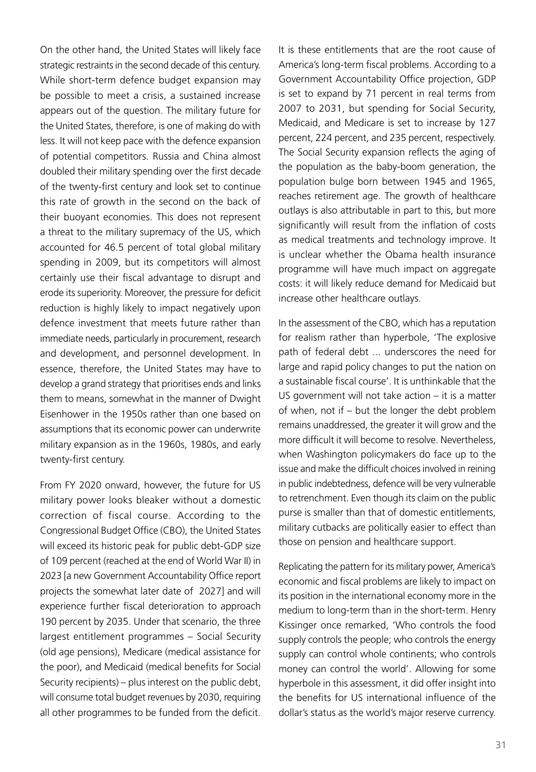On the other hand, the United States will likely face strategic restraints in the second decade of this century. While short-term defence budget expansion may be possible to meet a crisis, a sustained increase appears out of the question. The military future for the United States, therefore, is one of making do with less. It will not keep pace with the defence expansion of potential competitors. Russia and China almost doubled their military spending over the first decade of the twenty-first century and look set to continue this rate of growth in the second on the back of their buoyant economies. This does not represent a threat to the military supremacy of the US, which accounted for 46.5 percent of total global military spending in 2009, but its competitors will almost certainly use their fiscal advantage to disrupt and erode its superiority. Moreover, the pressure for deficit reduction is highly likely to impact negatively upon defence investment that meets future rather than immediate needs, particularly in procurement, research and development, and personnel development. In essence, therefore, the United States may have to develop a grand strategy that prioritises ends and links them to means, somewhat in the manner of Dwight Eisenhower in the 1950s rather than one based on assumptions that its economic power can underwrite military expansion as in the 1960s, 1980s, and early twenty-first century.

From FY 2020 onward, however, the future for US military power looks bleaker without a domestic correction of fiscal course. According to the Congressional Budget Office (CBO), the United States will exceed its historic peak for public debt-GDP size of 109 percent (reached at the end of World War II) in 2023 [a new Government Accountability Office report projects the somewhat later date of 2027] and will experience further fiscal deterioration to approach 190 percent by 2035. Under that scenario, the three largest entitlement programmes – Social Security (old age pensions), Medicare (medical assistance for the poor), and Medicaid (medical benefits for Social Security recipients) – plus interest on the public debt, will consume total budget revenues by 2030, requiring all other programmes to be funded from the deficit.

It is these entitlements that are the root cause of America's long-term fiscal problems. According to a Government Accountability Office projection, GDP is set to expand by 71 percent in real terms from 2007 to 2031, but spending for Social Security, Medicaid, and Medicare is set to increase by 127 percent, 224 percent, and 235 percent, respectively. The Social Security expansion reflects the aging of the population as the baby-boom generation, the population bulge born between 1945 and 1965, reaches retirement age. The growth of healthcare outlays is also attributable in part to this, but more significantly will result from the inflation of costs as medical treatments and technology improve. It is unclear whether the Obama health insurance programme will have much impact on aggregate costs: it will likely reduce demand for Medicaid but increase other healthcare outlays.

In the assessment of the CBO, which has a reputation for realism rather than hyperbole, 'The explosive path of federal debt ... underscores the need for large and rapid policy changes to put the nation on a sustainable fiscal course'. It is unthinkable that the US government will not take action – it is a matter of when, not if – but the longer the debt problem remains unaddressed, the greater it will grow and the more difficult it will become to resolve. Nevertheless, when Washington policymakers do face up to the issue and make the difficult choices involved in reining in public indebtedness, defence will be very vulnerable to retrenchment. Even though its claim on the public purse is smaller than that of domestic entitlements, military cutbacks are politically easier to effect than those on pension and healthcare support.

Replicating the pattern for its military power, America's economic and fiscal problems are likely to impact on its position in the international economy more in the medium to long-term than in the short-term. Henry Kissinger once remarked, 'Who controls the food supply controls the people; who controls the energy supply can control whole continents; who controls money can control the world'. Allowing for some hyperbole in this assessment, it did offer insight into the benefits for US international influence of the dollar's status as the world's major reserve currency.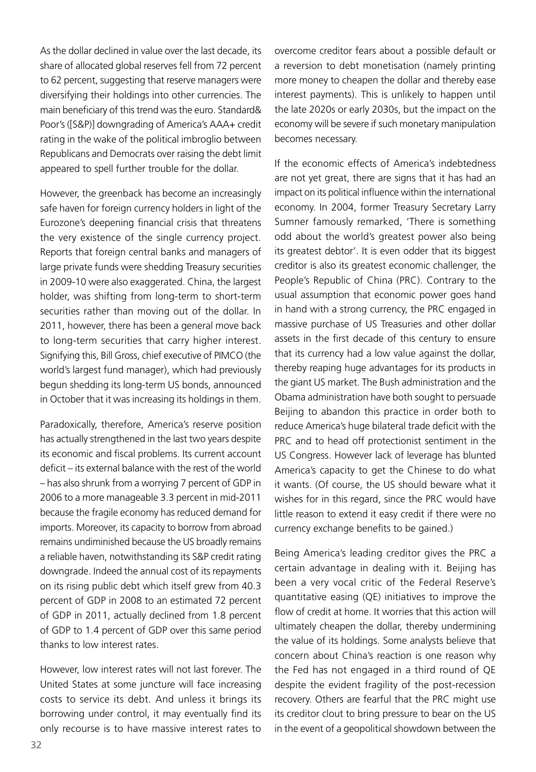As the dollar declined in value over the last decade, its share of allocated global reserves fell from 72 percent to 62 percent, suggesting that reserve managers were diversifying their holdings into other currencies. The main beneficiary of this trend was the euro. Standard& Poor's ([S&P)] downgrading of America's AAA+ credit rating in the wake of the political imbroglio between Republicans and Democrats over raising the debt limit appeared to spell further trouble for the dollar.

However, the greenback has become an increasingly safe haven for foreign currency holders in light of the Eurozone's deepening financial crisis that threatens the very existence of the single currency project. Reports that foreign central banks and managers of large private funds were shedding Treasury securities in 2009-10 were also exaggerated. China, the largest holder, was shifting from long-term to short-term securities rather than moving out of the dollar. In 2011, however, there has been a general move back to long-term securities that carry higher interest. Signifying this, Bill Gross, chief executive of PIMCO (the world's largest fund manager), which had previously begun shedding its long-term US bonds, announced in October that it was increasing its holdings in them.

Paradoxically, therefore, America's reserve position has actually strengthened in the last two years despite its economic and fiscal problems. Its current account deficit – its external balance with the rest of the world – has also shrunk from a worrying 7 percent of GDP in 2006 to a more manageable 3.3 percent in mid-2011 because the fragile economy has reduced demand for imports. Moreover, its capacity to borrow from abroad remains undiminished because the US broadly remains a reliable haven, notwithstanding its S&P credit rating downgrade. Indeed the annual cost of its repayments on its rising public debt which itself grew from 40.3 percent of GDP in 2008 to an estimated 72 percent of GDP in 2011, actually declined from 1.8 percent of GDP to 1.4 percent of GDP over this same period thanks to low interest rates.

However, low interest rates will not last forever. The United States at some juncture will face increasing costs to service its debt. And unless it brings its borrowing under control, it may eventually find its only recourse is to have massive interest rates to

overcome creditor fears about a possible default or a reversion to debt monetisation (namely printing more money to cheapen the dollar and thereby ease interest payments). This is unlikely to happen until the late 2020s or early 2030s, but the impact on the economy will be severe if such monetary manipulation becomes necessary.

If the economic effects of America's indebtedness are not yet great, there are signs that it has had an impact on its political influence within the international economy. In 2004, former Treasury Secretary Larry Sumner famously remarked, 'There is something odd about the world's greatest power also being its greatest debtor'. It is even odder that its biggest creditor is also its greatest economic challenger, the People's Republic of China (PRC). Contrary to the usual assumption that economic power goes hand in hand with a strong currency, the PRC engaged in massive purchase of US Treasuries and other dollar assets in the first decade of this century to ensure that its currency had a low value against the dollar, thereby reaping huge advantages for its products in the giant US market. The Bush administration and the Obama administration have both sought to persuade Beijing to abandon this practice in order both to reduce America's huge bilateral trade deficit with the PRC and to head off protectionist sentiment in the US Congress. However lack of leverage has blunted America's capacity to get the Chinese to do what it wants. (Of course, the US should beware what it wishes for in this regard, since the PRC would have little reason to extend it easy credit if there were no currency exchange benefits to be gained.)

Being America's leading creditor gives the PRC a certain advantage in dealing with it. Beijing has been a very vocal critic of the Federal Reserve's quantitative easing (QE) initiatives to improve the flow of credit at home. It worries that this action will ultimately cheapen the dollar, thereby undermining the value of its holdings. Some analysts believe that concern about China's reaction is one reason why the Fed has not engaged in a third round of QE despite the evident fragility of the post-recession recovery. Others are fearful that the PRC might use its creditor clout to bring pressure to bear on the US in the event of a geopolitical showdown between the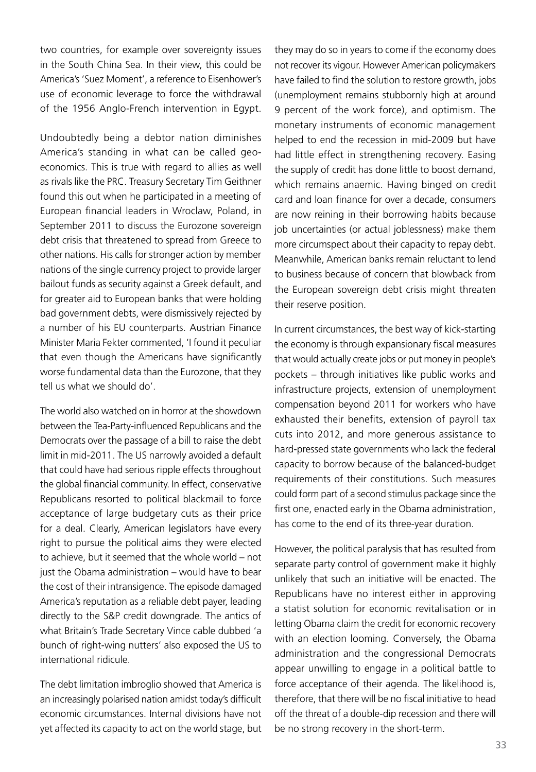two countries, for example over sovereignty issues in the South China Sea. In their view, this could be America's 'Suez Moment', a reference to Eisenhower's use of economic leverage to force the withdrawal of the 1956 Anglo-French intervention in Egypt.

Undoubtedly being a debtor nation diminishes America's standing in what can be called geoeconomics. This is true with regard to allies as well as rivals like the PRC. Treasury Secretary Tim Geithner found this out when he participated in a meeting of European financial leaders in Wroclaw, Poland, in September 2011 to discuss the Eurozone sovereign debt crisis that threatened to spread from Greece to other nations. His calls for stronger action by member nations of the single currency project to provide larger bailout funds as security against a Greek default, and for greater aid to European banks that were holding bad government debts, were dismissively rejected by a number of his EU counterparts. Austrian Finance Minister Maria Fekter commented, 'I found it peculiar that even though the Americans have significantly worse fundamental data than the Eurozone, that they tell us what we should do'.

The world also watched on in horror at the showdown between the Tea-Party-influenced Republicans and the Democrats over the passage of a bill to raise the debt limit in mid-2011. The US narrowly avoided a default that could have had serious ripple effects throughout the global financial community. In effect, conservative Republicans resorted to political blackmail to force acceptance of large budgetary cuts as their price for a deal. Clearly, American legislators have every right to pursue the political aims they were elected to achieve, but it seemed that the whole world – not just the Obama administration – would have to bear the cost of their intransigence. The episode damaged America's reputation as a reliable debt payer, leading directly to the S&P credit downgrade. The antics of what Britain's Trade Secretary Vince cable dubbed 'a bunch of right-wing nutters' also exposed the US to international ridicule.

The debt limitation imbroglio showed that America is an increasingly polarised nation amidst today's difficult economic circumstances. Internal divisions have not yet affected its capacity to act on the world stage, but

they may do so in years to come if the economy does not recover its vigour. However American policymakers have failed to find the solution to restore growth, jobs (unemployment remains stubbornly high at around 9 percent of the work force), and optimism. The monetary instruments of economic management helped to end the recession in mid-2009 but have had little effect in strengthening recovery. Easing the supply of credit has done little to boost demand, which remains anaemic. Having binged on credit card and loan finance for over a decade, consumers are now reining in their borrowing habits because job uncertainties (or actual joblessness) make them more circumspect about their capacity to repay debt. Meanwhile, American banks remain reluctant to lend to business because of concern that blowback from the European sovereign debt crisis might threaten their reserve position.

In current circumstances, the best way of kick-starting the economy is through expansionary fiscal measures that would actually create jobs or put money in people's pockets – through initiatives like public works and infrastructure projects, extension of unemployment compensation beyond 2011 for workers who have exhausted their benefits, extension of payroll tax cuts into 2012, and more generous assistance to hard-pressed state governments who lack the federal capacity to borrow because of the balanced-budget requirements of their constitutions. Such measures could form part of a second stimulus package since the first one, enacted early in the Obama administration, has come to the end of its three-year duration.

However, the political paralysis that has resulted from separate party control of government make it highly unlikely that such an initiative will be enacted. The Republicans have no interest either in approving a statist solution for economic revitalisation or in letting Obama claim the credit for economic recovery with an election looming. Conversely, the Obama administration and the congressional Democrats appear unwilling to engage in a political battle to force acceptance of their agenda. The likelihood is, therefore, that there will be no fiscal initiative to head off the threat of a double-dip recession and there will be no strong recovery in the short-term.